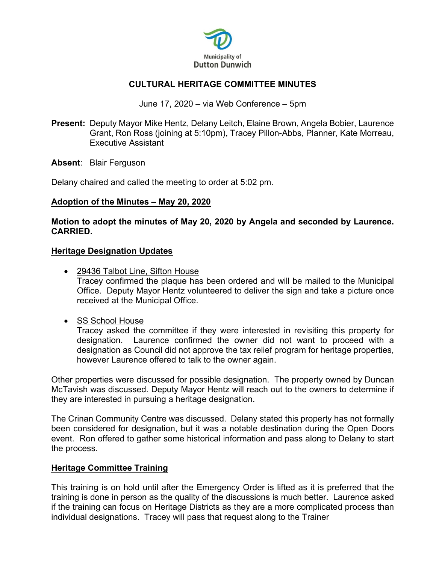

# **CULTURAL HERITAGE COMMITTEE MINUTES**

### June 17, 2020 – via Web Conference – 5pm

**Present:** Deputy Mayor Mike Hentz, Delany Leitch, Elaine Brown, Angela Bobier, Laurence Grant, Ron Ross (joining at 5:10pm), Tracey Pillon-Abbs, Planner, Kate Morreau, Executive Assistant

**Absent**: Blair Ferguson

Delany chaired and called the meeting to order at 5:02 pm.

### **Adoption of the Minutes – May 20, 2020**

### **Motion to adopt the minutes of May 20, 2020 by Angela and seconded by Laurence. CARRIED.**

### **Heritage Designation Updates**

- 29436 Talbot Line, Sifton House Tracey confirmed the plaque has been ordered and will be mailed to the Municipal Office. Deputy Mayor Hentz volunteered to deliver the sign and take a picture once received at the Municipal Office.
- SS School House

Tracey asked the committee if they were interested in revisiting this property for designation. Laurence confirmed the owner did not want to proceed with a designation as Council did not approve the tax relief program for heritage properties, however Laurence offered to talk to the owner again.

Other properties were discussed for possible designation. The property owned by Duncan McTavish was discussed. Deputy Mayor Hentz will reach out to the owners to determine if they are interested in pursuing a heritage designation.

The Crinan Community Centre was discussed. Delany stated this property has not formally been considered for designation, but it was a notable destination during the Open Doors event. Ron offered to gather some historical information and pass along to Delany to start the process.

# **Heritage Committee Training**

This training is on hold until after the Emergency Order is lifted as it is preferred that the training is done in person as the quality of the discussions is much better. Laurence asked if the training can focus on Heritage Districts as they are a more complicated process than individual designations. Tracey will pass that request along to the Trainer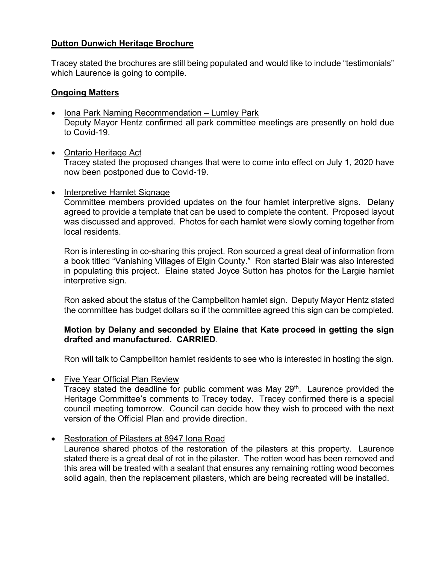# **Dutton Dunwich Heritage Brochure**

Tracey stated the brochures are still being populated and would like to include "testimonials" which Laurence is going to compile.

### **Ongoing Matters**

- Iona Park Naming Recommendation Lumley Park Deputy Mayor Hentz confirmed all park committee meetings are presently on hold due to Covid-19.
- Ontario Heritage Act Tracey stated the proposed changes that were to come into effect on July 1, 2020 have now been postponed due to Covid-19.

### • Interpretive Hamlet Signage

Committee members provided updates on the four hamlet interpretive signs. Delany agreed to provide a template that can be used to complete the content. Proposed layout was discussed and approved. Photos for each hamlet were slowly coming together from local residents.

Ron is interesting in co-sharing this project. Ron sourced a great deal of information from a book titled "Vanishing Villages of Elgin County." Ron started Blair was also interested in populating this project. Elaine stated Joyce Sutton has photos for the Largie hamlet interpretive sign.

Ron asked about the status of the Campbellton hamlet sign. Deputy Mayor Hentz stated the committee has budget dollars so if the committee agreed this sign can be completed.

# **Motion by Delany and seconded by Elaine that Kate proceed in getting the sign drafted and manufactured. CARRIED**.

Ron will talk to Campbellton hamlet residents to see who is interested in hosting the sign.

• Five Year Official Plan Review

Tracey stated the deadline for public comment was May  $29<sup>th</sup>$ . Laurence provided the Heritage Committee's comments to Tracey today. Tracey confirmed there is a special council meeting tomorrow. Council can decide how they wish to proceed with the next version of the Official Plan and provide direction.

# • Restoration of Pilasters at 8947 Iona Road

Laurence shared photos of the restoration of the pilasters at this property. Laurence stated there is a great deal of rot in the pilaster. The rotten wood has been removed and this area will be treated with a sealant that ensures any remaining rotting wood becomes solid again, then the replacement pilasters, which are being recreated will be installed.